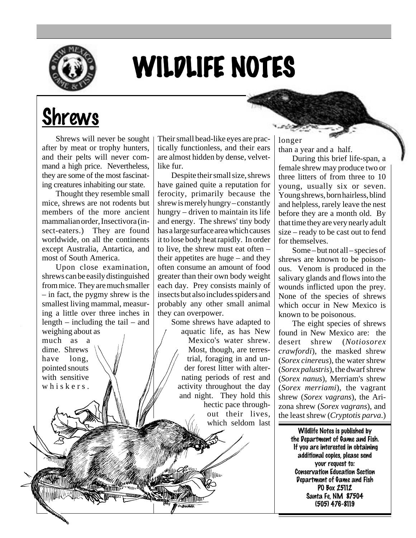

# WILDLIFE NOTES

## Shrews

Shrews will never be sought after by meat or trophy hunters, and their pelts will never command a high price. Nevertheless, they are some of the most fascinating creatures inhabiting our state.

Thought they resemble small mice, shrews are not rodents but members of the more ancient mammalian order, Insectivora (insect-eaters.) They are found worldwide, on all the continents except Australia, Antartica, and most of South America.

Upon close examination, shrews can be easily distinguished from mice. They are much smaller – in fact, the pygmy shrew is the smallest living mammal, measuring a little over three inches in length – including the tail – and weighing about as

much as a dime. Shrews have long, pointed snouts with sensitive whiskers.

Their small bead-like eyes are practically functionless, and their ears are almost hidden by dense, velvetlike fur.

Despite their small size, shrews have gained quite a reputation for ferocity, primarily because the shrew is merely hungry – constantly hungry – driven to maintain its life and energy. The shrews' tiny body has a large surface area which causes it to lose body heat rapidly. In order to live, the shrew must eat often – their appetites are huge – and they often consume an amount of food greater than their own body weight each day. Prey consists mainly of insects but also includes spiders and probably any other small animal they can overpower.

Some shrews have adapted to aquatic life, as has New Mexico's water shrew. Most, though, are terrestrial, foraging in and under forest litter with alternating periods of rest and activity throughout the day and night. They hold this hectic pace throughout their lives, which seldom last longer than a year and a half.

During this brief life-span, a female shrew may produce two or three litters of from three to 10 young, usually six or seven. Young shrews, born hairless, blind and helpless, rarely leave the nest before they are a month old. By that time they are very nearly adult size – ready to be cast out to fend for themselves.

Some – but not all – species of shrews are known to be poisonous. Venom is produced in the salivary glands and flows into the wounds inflicted upon the prey. None of the species of shrews which occur in New Mexico is known to be poisonous.

The eight species of shrews found in New Mexico are: the desert shrew (*Notiosorex crawfordi*), the masked shrew (*Sorex cinereus*), the water shrew (*Sorex palustris*), the dwarf shrew (*Sorex nanus*), Merriam's shrew (*Sorex merriami*), the vagrant shrew (*Sorex vagrans*), the Arizona shrew (*Sorex vagrans*), and the least shrew (*Cryptotis parva*.)

> Wildlife Notes is published by the Department of Game and Fish. If you are interested in obtaining additional copies, please send your request to: Conservation Education Section Department of Game and Fish PO Box 25112 Santa Fe, NM 87504 (505) 476-8119